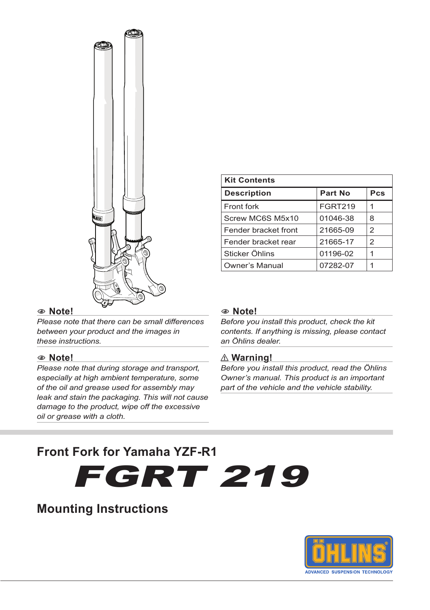

#### 1 **Note!**

*Please note that there can be small differences between your product and the images in these instructions.*

#### 1 **Note!**

*Please note that during storage and transport, especially at high ambient temperature, some of the oil and grease used for assembly may leak and stain the packaging. This will not cause damage to the product, wipe off the excessive oil or grease with a cloth.*

| <b>Kit Contents</b>  |                |                |
|----------------------|----------------|----------------|
| <b>Description</b>   | Part No        | Pcs            |
| Front fork           | <b>FGRT219</b> |                |
| Screw MC6S M5x10     | 01046-38       | 8              |
| Fender bracket front | 21665-09       | $\overline{2}$ |
| Fender bracket rear  | 21665-17       | $\mathcal{P}$  |
| Sticker Öhlins       | 01196-02       |                |
| Owner's Manual       | 07282-07       |                |

#### 1 **Note!**

*Before you install this product, check the kit contents. If anything is missing, please contact an Öhlins dealer.*

#### ⚠ **Warning!**

*Before you install this product, read the Öhlins Owner's manual. This product is an important part of the vehicle and the vehicle stability.*

# **Front Fork for Yamaha YZF-R1**

# FGRT 219

# **Mounting Instructions**

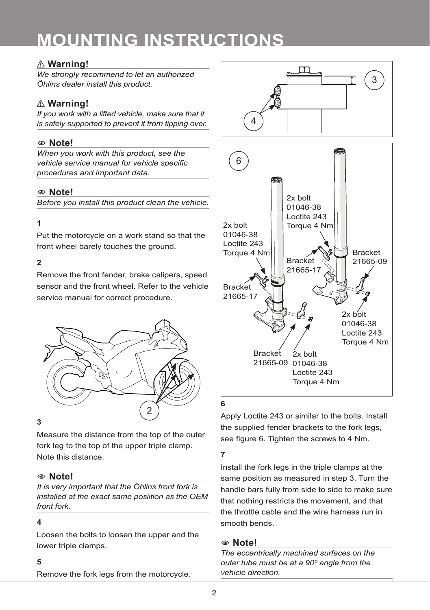# **mounting instructions**

#### ⚠ **Warning!**

*We strongly recommend to let an authorized Öhlins dealer install this product.*

### ⚠ **Warning!**

*If you work with a lifted vehicle, make sure that it is safely supported to prevent it from tipping over.*

#### 1 **Note!**

*When you work with this product, see the vehicle service manual for vehicle specific procedures and important data.*

#### 1 **Note!**

*Before you install this product clean the vehicle.*

#### **1**

Put the motorcycle on a work stand so that the front wheel barely touches the ground.

#### **2**

Remove the front fender, brake calipers, speed sensor and the front wheel. Refer to the vehicle service manual for correct procedure.



#### **3**

Measure the distance from the top of the outer fork leg to the top of the upper triple clamp. Note this distance.

#### 1 **Note!**

*It is very important that the Öhlins front fork is installed at the exact same posiition as the OEM front fork.*

#### **4**

Loosen the bolts to loosen the upper and the lower triple clamps.

#### **5**

Remove the fork legs from the motorcycle.



**6**

Apply Loctite 243 or similar to the bolts. Install the supplied fender brackets to the fork legs, see figure 6. Tighten the screws to 4 Nm.

#### **7**

Install the fork legs in the triple clamps at the same position as measured in step 3. Turn the handle bars fully from side to side to make sure that nothing restricts the movement, and that the throttle cable and the wire harness run in smooth bends.

#### 1 **Note!**

*The eccentrically machined surfaces on the outer tube must be at a 90º angle from the vehicle direction.*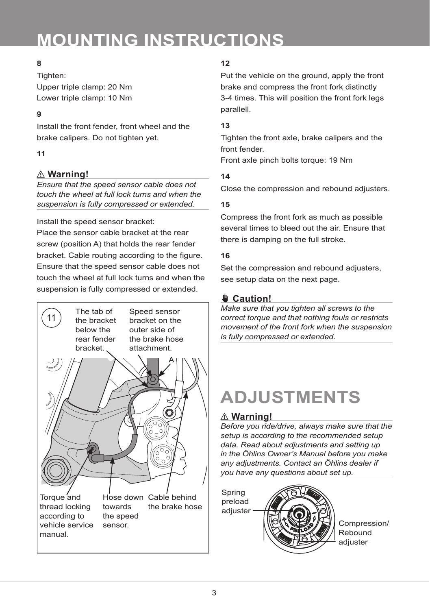# **mounting instructions**

### **8**

Tighten:

Upper triple clamp: 20 Nm Lower triple clamp: 10 Nm

#### **9**

Install the front fender, front wheel and the brake calipers. Do not tighten yet.

#### **11**

# ⚠ **Warning!**

*Ensure that the speed sensor cable does not touch the wheel at full lock turns and when the suspension is fully compressed or extended.* 

Install the speed sensor bracket:

Place the sensor cable bracket at the rear screw (position A) that holds the rear fender bracket. Cable routing according to the figure. Ensure that the speed sensor cable does not touch the wheel at full lock turns and when the suspension is fully compressed or extended.



### **12**

Put the vehicle on the ground, apply the front brake and compress the front fork distinctly 3-4 times. This will position the front fork legs parallell.

### **13**

Tighten the front axle, brake calipers and the front fender.

Front axle pinch bolts torque: 19 Nm

### **14**

Close the compression and rebound adjusters.

#### **15**

Compress the front fork as much as possible several times to bleed out the air. Ensure that there is damping on the full stroke.

#### **16**

Set the compression and rebound adjusters, see setup data on the next page.

# ✋**✋ Caution!**

*Make sure that you tighten all screws to the correct torque and that nothing fouls or restricts movement of the front fork when the suspension is fully compressed or extended.*

# **adjustments**

# ⚠ **Warning!**

*Before you ride/drive, always make sure that the setup is according to the recommended setup data. Read about adjustments and setting up in the Öhlins Owner's Manual before you make any adjustments. Contact an Öhlins dealer if you have any questions about set up.*

Spring preload adjuster



Compression/ Rebound adjuster